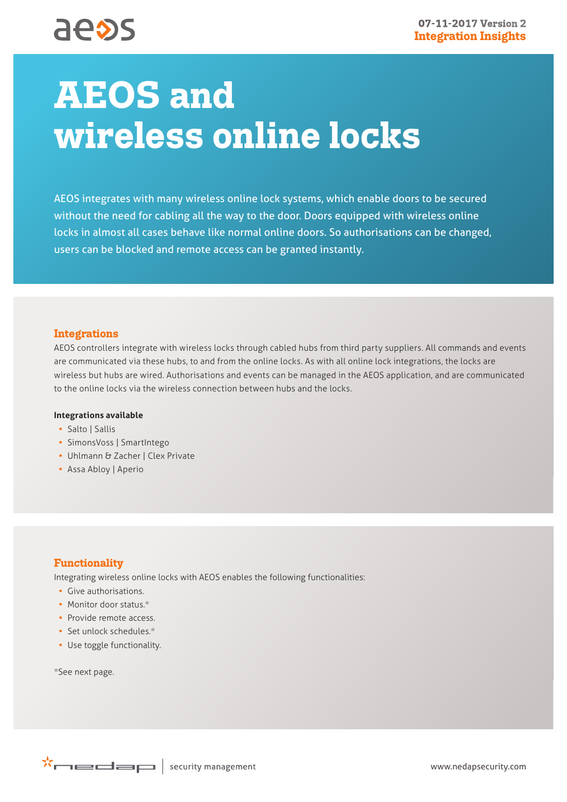# **AEOS and wireless online locks**

AEOS integrates with many wireless online lock systems, which enable doors to be secured without the need for cabling all the way to the door. Doors equipped with wireless online locks in almost all cases behave like normal online doors. So authorisations can be changed, users can be blocked and remote access can be granted instantly.

#### **Integrations**

AEOS controllers integrate with wireless locks through cabled hubs from third party suppliers. All commands and events are communicated via these hubs, to and from the online locks. As with all online lock integrations, the locks are wireless but hubs are wired. Authorisations and events can be managed in the AEOS application, and are communicated to the online locks via the wireless connection between hubs and the locks.

#### **Integrations available**

- **•** Salto | Sallis
- **•** SimonsVoss | SmartIntego
- **•** Uhlmann & Zacher | Clex Private
- **•** Assa Abloy | Aperio

## **Functionality**

Integrating wireless online locks with AEOS enables the following functionalities:

- **•** Give authorisations.
- **•** Monitor door status.\*
- **•** Provide remote access.
- **•** Set unlock schedules.\*
- **•** Use toggle functionality.

\*See next page.

 $\mathbf{X}$  and  $\blacksquare$  is ecurity management